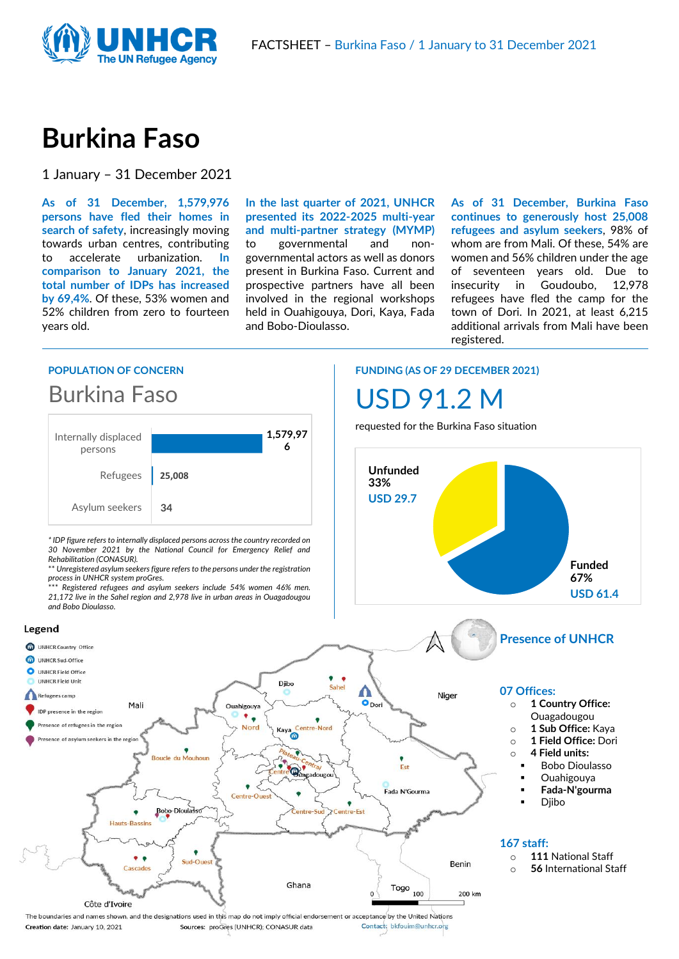

# **Burkina Faso**

1 January – 31 December 2021

**As of 31 December, 1,579,976 persons have fled their homes in search of safety**, increasingly moving towards urban centres, contributing to accelerate urbanization. **In comparison to January 2021, the total number of IDPs has increased by 69,4%**. Of these, 53% women and 52% children from zero to fourteen years old.

**In the last quarter of 2021, UNHCR presented its 2022-2025 multi-year and multi-partner strategy (MYMP)**  to governmental and nongovernmental actors as well as donors present in Burkina Faso. Current and prospective partners have all been involved in the regional workshops held in Ouahigouya, Dori, Kaya, Fada and Bobo-Dioulasso.

**As of 31 December, Burkina Faso continues to generously host 25,008 refugees and asylum seekers**, 98% of whom are from Mali. Of these, 54% are women and 56% children under the age of seventeen years old. Due to insecurity in Goudoubo, 12,978 refugees have fled the camp for the town of Dori. In 2021, at least 6,215 additional arrivals from Mali have been registered.

## **POPULATION OF CONCERN**





*\* IDP figure refers to internally displaced persons across the country recorded on 30 November 2021 by the National Council for Emergency Relief and Rehabilitation (CONASUR).*

\*\* *Unregistered asylum seekers figure refers to the persons under the registration*  **process in UNHCR system proGres.**<br>*\*\*\* Popistema definition* 

\*\*\* *Registered refugees and asylum seekers include 54% women 46% men. 21,172 live in the Sahel region and 2,978 live in urban areas in Ouagadougou and Bobo Dioulasso.*



#### **FUNDING (AS OF 29 DECEMBER 2021)**

# USD 91.2 M

requested for the Burkina Faso situation

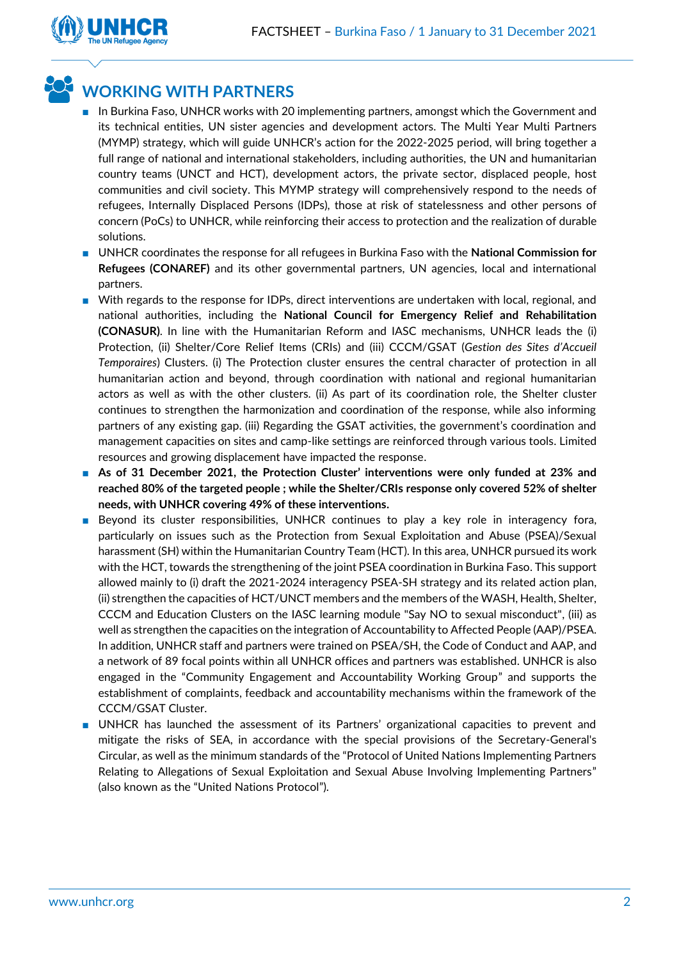

## **WORKING WITH PARTNERS**

- In Burkina Faso, UNHCR works with 20 implementing partners, amongst which the Government and its technical entities, UN sister agencies and development actors. The Multi Year Multi Partners (MYMP) strategy, which will guide UNHCR's action for the 2022-2025 period, will bring together a full range of national and international stakeholders, including authorities, the UN and humanitarian country teams (UNCT and HCT), development actors, the private sector, displaced people, host communities and civil society. This MYMP strategy will comprehensively respond to the needs of refugees, Internally Displaced Persons (IDPs), those at risk of statelessness and other persons of concern (PoCs) to UNHCR, while reinforcing their access to protection and the realization of durable solutions.
- UNHCR coordinates the response for all refugees in Burkina Faso with the **National Commission for Refugees (CONAREF)** and its other governmental partners, UN agencies, local and international partners.
- With regards to the response for IDPs, direct interventions are undertaken with local, regional, and national authorities, including the **National Council for Emergency Relief and Rehabilitation (CONASUR)**. In line with the Humanitarian Reform and IASC mechanisms, UNHCR leads the (i) Protection, (ii) Shelter/Core Relief Items (CRIs) and (iii) CCCM/GSAT (*Gestion des Sites d'Accueil Temporaires*) Clusters. (i) The Protection cluster ensures the central character of protection in all humanitarian action and beyond, through coordination with national and regional humanitarian actors as well as with the other clusters. (ii) As part of its coordination role, the Shelter cluster continues to strengthen the harmonization and coordination of the response, while also informing partners of any existing gap. (iii) Regarding the GSAT activities, the government's coordination and management capacities on sites and camp-like settings are reinforced through various tools. Limited resources and growing displacement have impacted the response.
- As of 31 December 2021, the Protection Cluster' interventions were only funded at 23% and **reached 80% of the targeted people ; while the Shelter/CRIs response only covered 52% of shelter needs, with UNHCR covering 49% of these interventions.**
- Beyond its cluster responsibilities, UNHCR continues to play a key role in interagency fora, particularly on issues such as the Protection from Sexual Exploitation and Abuse (PSEA)/Sexual harassment (SH) within the Humanitarian Country Team (HCT). In this area, UNHCR pursued its work with the HCT, towards the strengthening of the joint PSEA coordination in Burkina Faso. This support allowed mainly to (i) draft the 2021-2024 interagency PSEA-SH strategy and its related action plan, (ii) strengthen the capacities of HCT/UNCT members and the members of the WASH, Health, Shelter, CCCM and Education Clusters on the IASC learning module "Say NO to sexual misconduct", (iii) as well as strengthen the capacities on the integration of Accountability to Affected People (AAP)/PSEA. In addition, UNHCR staff and partners were trained on PSEA/SH, the Code of Conduct and AAP, and a network of 89 focal points within all UNHCR offices and partners was established. UNHCR is also engaged in the "Community Engagement and Accountability Working Group" and supports the establishment of complaints, feedback and accountability mechanisms within the framework of the CCCM/GSAT Cluster.
- UNHCR has launched the assessment of its Partners' organizational capacities to prevent and mitigate the risks of SEA, in accordance with the special provisions of the Secretary-General's Circular, as well as the minimum standards of the "Protocol of United Nations Implementing Partners Relating to Allegations of Sexual Exploitation and Sexual Abuse Involving Implementing Partners" (also known as the "United Nations Protocol").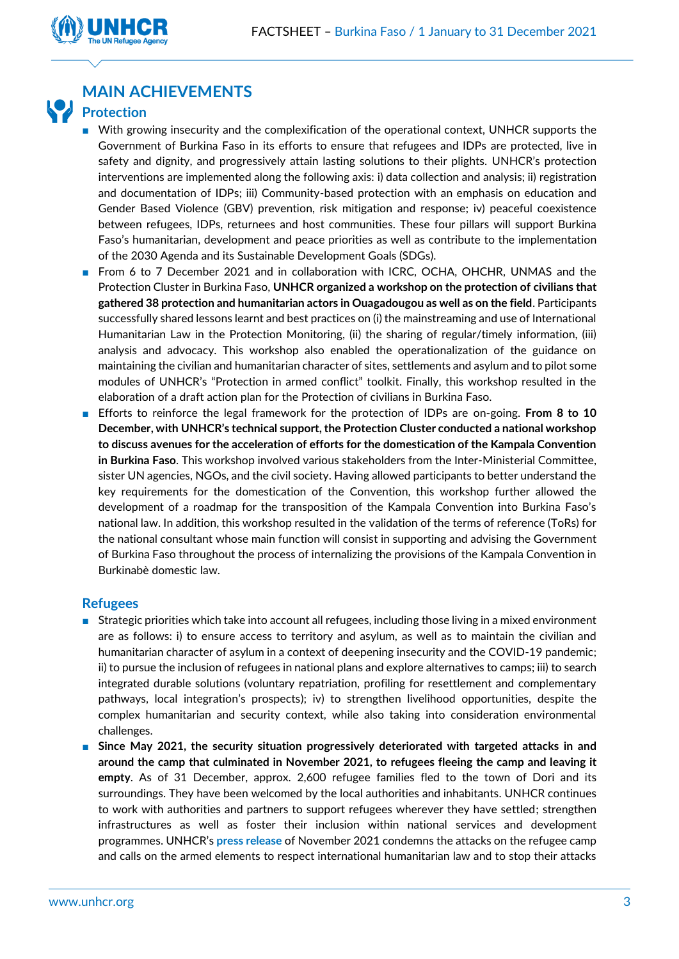

## **MAIN ACHIEVEMENTS**

## **Protection**

- With growing insecurity and the complexification of the operational context, UNHCR supports the Government of Burkina Faso in its efforts to ensure that refugees and IDPs are protected, live in safety and dignity, and progressively attain lasting solutions to their plights. UNHCR's protection interventions are implemented along the following axis: i) data collection and analysis; ii) registration and documentation of IDPs; iii) Community-based protection with an emphasis on education and Gender Based Violence (GBV) prevention, risk mitigation and response; iv) peaceful coexistence between refugees, IDPs, returnees and host communities. These four pillars will support Burkina Faso's humanitarian, development and peace priorities as well as contribute to the implementation of the 2030 Agenda and its Sustainable Development Goals (SDGs).
- From 6 to 7 December 2021 and in collaboration with ICRC, OCHA, OHCHR, UNMAS and the Protection Cluster in Burkina Faso, **UNHCR organized a workshop on the protection of civilians that gathered 38 protection and humanitarian actors in Ouagadougou as well as on the field**. Participants successfully shared lessons learnt and best practices on (i) the mainstreaming and use of International Humanitarian Law in the Protection Monitoring, (ii) the sharing of regular/timely information, (iii) analysis and advocacy. This workshop also enabled the operationalization of the guidance on maintaining the civilian and humanitarian character of sites, settlements and asylum and to pilot some modules of UNHCR's "Protection in armed conflict" toolkit. Finally, this workshop resulted in the elaboration of a draft action plan for the Protection of civilians in Burkina Faso.
- Efforts to reinforce the legal framework for the protection of IDPs are on-going. **From 8 to 10 December, with UNHCR's technical support, the Protection Cluster conducted a national workshop to discuss avenues for the acceleration of efforts for the domestication of the Kampala Convention in Burkina Faso**. This workshop involved various stakeholders from the Inter-Ministerial Committee, sister UN agencies, NGOs, and the civil society. Having allowed participants to better understand the key requirements for the domestication of the Convention, this workshop further allowed the development of a roadmap for the transposition of the Kampala Convention into Burkina Faso's national law. In addition, this workshop resulted in the validation of the terms of reference (ToRs) for the national consultant whose main function will consist in supporting and advising the Government of Burkina Faso throughout the process of internalizing the provisions of the Kampala Convention in Burkinabè domestic law.

## **Refugees**

- Strategic priorities which take into account all refugees, including those living in a mixed environment are as follows: i) to ensure access to territory and asylum, as well as to maintain the civilian and humanitarian character of asylum in a context of deepening insecurity and the COVID-19 pandemic; ii) to pursue the inclusion of refugees in national plans and explore alternatives to camps; iii) to search integrated durable solutions (voluntary repatriation, profiling for resettlement and complementary pathways, local integration's prospects); iv) to strengthen livelihood opportunities, despite the complex humanitarian and security context, while also taking into consideration environmental challenges.
- Since May 2021, the security situation progressively deteriorated with targeted attacks in and **around the camp that culminated in November 2021, to refugees fleeing the camp and leaving it empty**. As of 31 December, approx. 2,600 refugee families fled to the town of Dori and its surroundings. They have been welcomed by the local authorities and inhabitants. UNHCR continues to work with authorities and partners to support refugees wherever they have settled; strengthen infrastructures as well as foster their inclusion within national services and development programmes. UNHCR's **[press release](https://data2.unhcr.org/fr/documents/details/89609)** of November 2021 condemns the attacks on the refugee camp and calls on the armed elements to respect international humanitarian law and to stop their attacks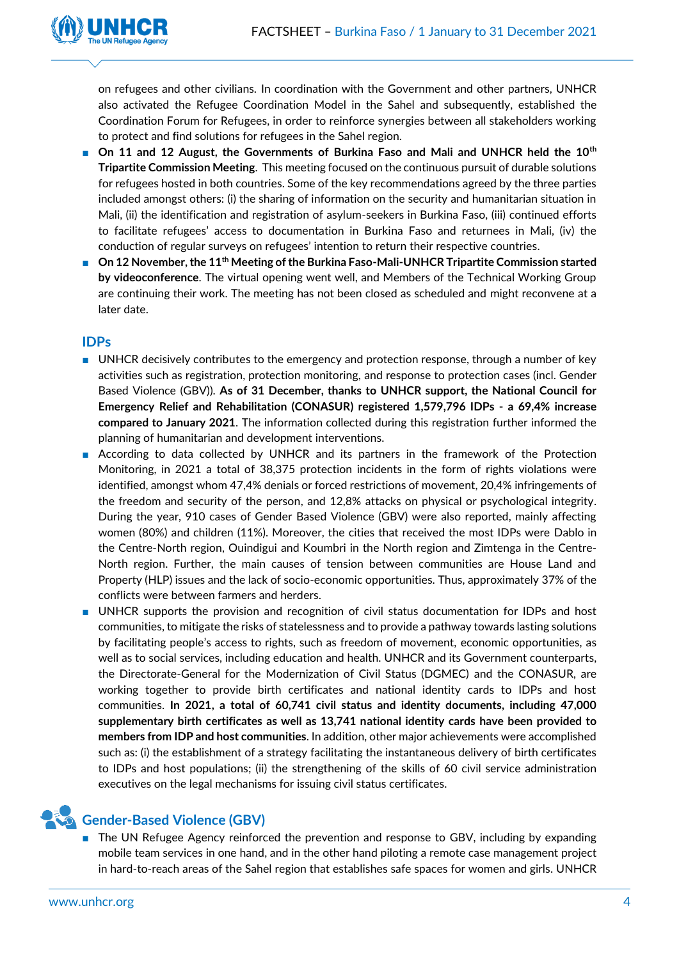

on refugees and other civilians. In coordination with the Government and other partners, UNHCR also activated the Refugee Coordination Model in the Sahel and subsequently, established the Coordination Forum for Refugees, in order to reinforce synergies between all stakeholders working to protect and find solutions for refugees in the Sahel region.

- On 11 and 12 August, the Governments of Burkina Faso and Mali and UNHCR held the 10<sup>th</sup> **Tripartite Commission Meeting**. This meeting focused on the continuous pursuit of durable solutions for refugees hosted in both countries. Some of the key recommendations agreed by the three parties included amongst others: (i) the sharing of information on the security and humanitarian situation in Mali, (ii) the identification and registration of asylum-seekers in Burkina Faso, (iii) continued efforts to facilitate refugees' access to documentation in Burkina Faso and returnees in Mali, (iv) the conduction of regular surveys on refugees' intention to return their respective countries.
- On 12 November, the 11<sup>th</sup> Meeting of the Burkina Faso-Mali-UNHCR Tripartite Commission started **by videoconference**. The virtual opening went well, and Members of the Technical Working Group are continuing their work. The meeting has not been closed as scheduled and might reconvene at a later date.

## **IDPs**

- UNHCR decisively contributes to the emergency and protection response, through a number of key activities such as registration, protection monitoring, and response to protection cases (incl. Gender Based Violence (GBV)). **As of 31 December, thanks to UNHCR support, the National Council for Emergency Relief and Rehabilitation (CONASUR) registered 1,579,796 IDPs - a 69,4% increase compared to January 2021**. The information collected during this registration further informed the planning of humanitarian and development interventions.
- According to data collected by UNHCR and its partners in the framework of the Protection Monitoring, in 2021 a total of 38,375 protection incidents in the form of rights violations were identified, amongst whom 47,4% denials or forced restrictions of movement, 20,4% infringements of the freedom and security of the person, and 12,8% attacks on physical or psychological integrity. During the year, 910 cases of Gender Based Violence (GBV) were also reported, mainly affecting women (80%) and children (11%). Moreover, the cities that received the most IDPs were Dablo in the Centre-North region, Ouindigui and Koumbri in the North region and Zimtenga in the Centre-North region. Further, the main causes of tension between communities are House Land and Property (HLP) issues and the lack of socio-economic opportunities. Thus, approximately 37% of the conflicts were between farmers and herders.
- UNHCR supports the provision and recognition of civil status documentation for IDPs and host communities, to mitigate the risks of statelessness and to provide a pathway towards lasting solutions by facilitating people's access to rights, such as freedom of movement, economic opportunities, as well as to social services, including education and health. UNHCR and its Government counterparts, the Directorate-General for the Modernization of Civil Status (DGMEC) and the CONASUR, are working together to provide birth certificates and national identity cards to IDPs and host communities. **In 2021, a total of 60,741 civil status and identity documents, including 47,000 supplementary birth certificates as well as 13,741 national identity cards have been provided to members from IDP and host communities**. In addition, other major achievements were accomplished such as: (i) the establishment of a strategy facilitating the instantaneous delivery of birth certificates to IDPs and host populations; (ii) the strengthening of the skills of 60 civil service administration executives on the legal mechanisms for issuing civil status certificates.

## **Gender-Based Violence (GBV)**

■ The UN Refugee Agency reinforced the prevention and response to GBV, including by expanding mobile team services in one hand, and in the other hand piloting a remote case management project in hard-to-reach areas of the Sahel region that establishes safe spaces for women and girls. UNHCR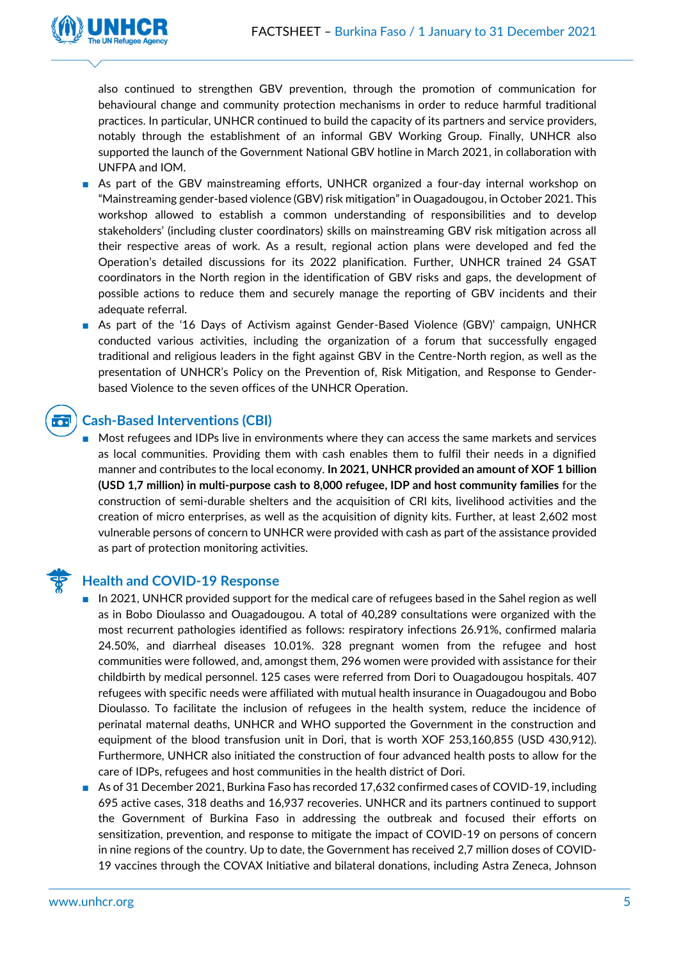

also continued to strengthen GBV prevention, through the promotion of communication for behavioural change and community protection mechanisms in order to reduce harmful traditional practices. In particular, UNHCR continued to build the capacity of its partners and service providers, notably through the establishment of an informal GBV Working Group. Finally, UNHCR also supported the launch of the Government National GBV hotline in March 2021, in collaboration with UNFPA and IOM.

- As part of the GBV mainstreaming efforts, UNHCR organized a four-day internal workshop on "Mainstreaming gender-based violence (GBV) risk mitigation" in Ouagadougou, in October 2021. This workshop allowed to establish a common understanding of responsibilities and to develop stakeholders' (including cluster coordinators) skills on mainstreaming GBV risk mitigation across all their respective areas of work. As a result, regional action plans were developed and fed the Operation's detailed discussions for its 2022 planification. Further, UNHCR trained 24 GSAT coordinators in the North region in the identification of GBV risks and gaps, the development of possible actions to reduce them and securely manage the reporting of GBV incidents and their adequate referral.
- As part of the '16 Days of Activism against Gender-Based Violence (GBV)' campaign, UNHCR conducted various activities, including the organization of a forum that successfully engaged traditional and religious leaders in the fight against GBV in the Centre-North region, as well as the presentation of UNHCR's Policy on the Prevention of, Risk Mitigation, and Response to Genderbased Violence to the seven offices of the UNHCR Operation.

#### **Cash-Based Interventions (CBI)**  $\overline{\cdot \cdot}$

■ Most refugees and IDPs live in environments where they can access the same markets and services as local communities. Providing them with cash enables them to fulfil their needs in a dignified manner and contributes to the local economy. **In 2021, UNHCR provided an amount of XOF 1 billion (USD 1,7 million) in multi-purpose cash to 8,000 refugee, IDP and host community families** for the construction of semi-durable shelters and the acquisition of CRI kits, livelihood activities and the creation of micro enterprises, as well as the acquisition of dignity kits. Further, at least 2,602 most vulnerable persons of concern to UNHCR were provided with cash as part of the assistance provided as part of protection monitoring activities.



## **Health and COVID-19 Response**

- In 2021, UNHCR provided support for the medical care of refugees based in the Sahel region as well as in Bobo Dioulasso and Ouagadougou. A total of 40,289 consultations were organized with the most recurrent pathologies identified as follows: respiratory infections 26.91%, confirmed malaria 24.50%, and diarrheal diseases 10.01%. 328 pregnant women from the refugee and host communities were followed, and, amongst them, 296 women were provided with assistance for their childbirth by medical personnel. 125 cases were referred from Dori to Ouagadougou hospitals. 407 refugees with specific needs were affiliated with mutual health insurance in Ouagadougou and Bobo Dioulasso. To facilitate the inclusion of refugees in the health system, reduce the incidence of perinatal maternal deaths, UNHCR and WHO supported the Government in the construction and equipment of the blood transfusion unit in Dori, that is worth XOF 253,160,855 (USD 430,912). Furthermore, UNHCR also initiated the construction of four advanced health posts to allow for the care of IDPs, refugees and host communities in the health district of Dori.
- As of 31 December 2021, Burkina Faso has recorded 17,632 confirmed cases of COVID-19, including 695 active cases, 318 deaths and 16,937 recoveries. UNHCR and its partners continued to support the Government of Burkina Faso in addressing the outbreak and focused their efforts on sensitization, prevention, and response to mitigate the impact of COVID-19 on persons of concern in nine regions of the country. Up to date, the Government has received 2,7 million doses of COVID-19 vaccines through the COVAX Initiative and bilateral donations, including Astra Zeneca, Johnson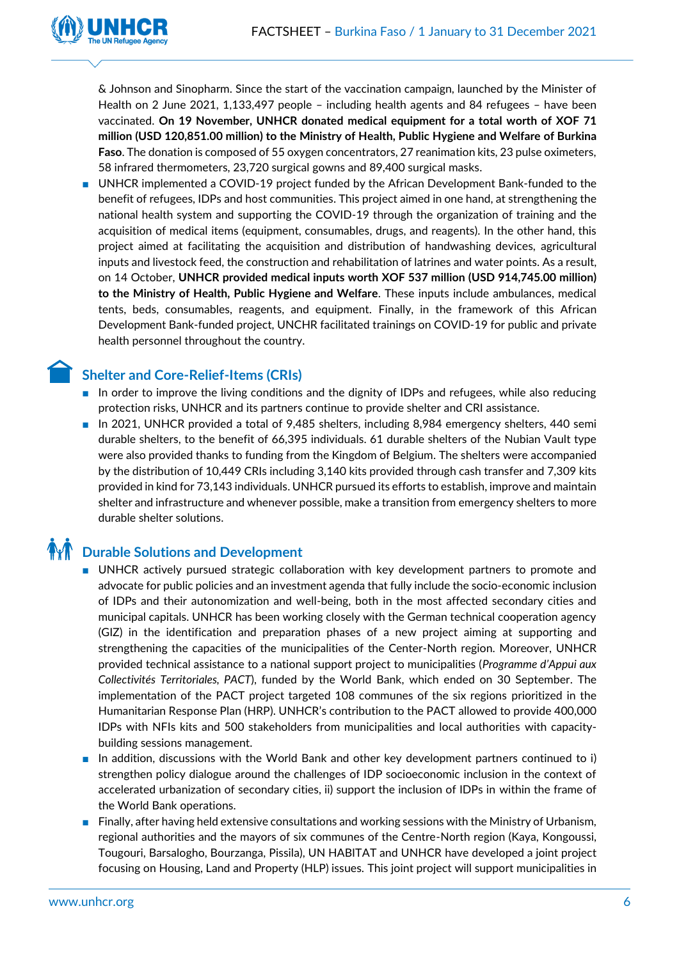

& Johnson and Sinopharm. Since the start of the vaccination campaign, launched by the Minister of Health on 2 June 2021, 1,133,497 people – including health agents and 84 refugees – have been vaccinated. **On 19 November, UNHCR donated medical equipment for a total worth of XOF 71 million (USD 120,851.00 million) to the Ministry of Health, Public Hygiene and Welfare of Burkina Faso**. The donation is composed of 55 oxygen concentrators, 27 reanimation kits, 23 pulse oximeters, 58 infrared thermometers, 23,720 surgical gowns and 89,400 surgical masks.

■ UNHCR implemented a COVID-19 project funded by the African Development Bank-funded to the benefit of refugees, IDPs and host communities. This project aimed in one hand, at strengthening the national health system and supporting the COVID-19 through the organization of training and the acquisition of medical items (equipment, consumables, drugs, and reagents). In the other hand, this project aimed at facilitating the acquisition and distribution of handwashing devices, agricultural inputs and livestock feed, the construction and rehabilitation of latrines and water points. As a result, on 14 October, **UNHCR provided medical inputs worth XOF 537 million (USD 914,745.00 million) to the Ministry of Health, Public Hygiene and Welfare**. These inputs include ambulances, medical tents, beds, consumables, reagents, and equipment. Finally, in the framework of this African Development Bank-funded project, UNCHR facilitated trainings on COVID-19 for public and private health personnel throughout the country.

## **Shelter and Core-Relief-Items (CRIs)**

- In order to improve the living conditions and the dignity of IDPs and refugees, while also reducing protection risks, UNHCR and its partners continue to provide shelter and CRI assistance.
- In 2021, UNHCR provided a total of 9,485 shelters, including 8,984 emergency shelters, 440 semi durable shelters, to the benefit of 66,395 individuals. 61 durable shelters of the Nubian Vault type were also provided thanks to funding from the Kingdom of Belgium. The shelters were accompanied by the distribution of 10,449 CRIs including 3,140 kits provided through cash transfer and 7,309 kits provided in kind for 73,143 individuals. UNHCR pursued its efforts to establish, improve and maintain shelter and infrastructure and whenever possible, make a transition from emergency shelters to more durable shelter solutions.

## **THE Durable Solutions and Development**

- UNHCR actively pursued strategic collaboration with key development partners to promote and advocate for public policies and an investment agenda that fully include the socio-economic inclusion of IDPs and their autonomization and well-being, both in the most affected secondary cities and municipal capitals. UNHCR has been working closely with the German technical cooperation agency (GIZ) in the identification and preparation phases of a new project aiming at supporting and strengthening the capacities of the municipalities of the Center-North region. Moreover, UNHCR provided technical assistance to a national support project to municipalities (*Programme d'Appui aux Collectivités Territoriales, PACT*), funded by the World Bank, which ended on 30 September. The implementation of the PACT project targeted 108 communes of the six regions prioritized in the Humanitarian Response Plan (HRP). UNHCR's contribution to the PACT allowed to provide 400,000 IDPs with NFIs kits and 500 stakeholders from municipalities and local authorities with capacitybuilding sessions management.
- In addition, discussions with the World Bank and other key development partners continued to i) strengthen policy dialogue around the challenges of IDP socioeconomic inclusion in the context of accelerated urbanization of secondary cities, ii) support the inclusion of IDPs in within the frame of the World Bank operations.
- Finally, after having held extensive consultations and working sessions with the Ministry of Urbanism, regional authorities and the mayors of six communes of the Centre-North region (Kaya, Kongoussi, Tougouri, Barsalogho, Bourzanga, Pissila), UN HABITAT and UNHCR have developed a joint project focusing on Housing, Land and Property (HLP) issues. This joint project will support municipalities in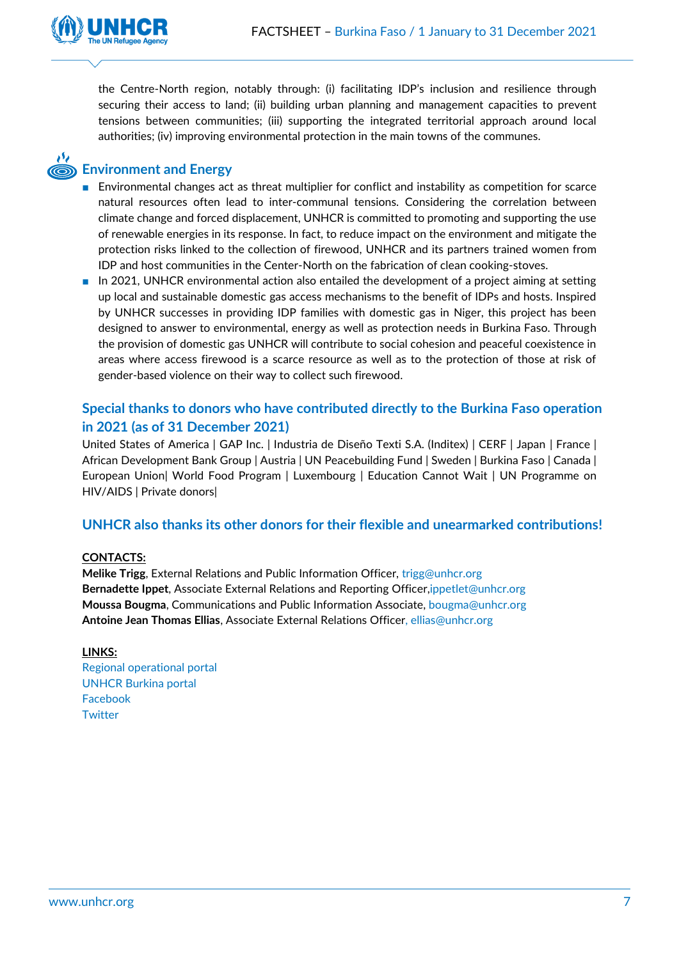

the Centre-North region, notably through: (i) facilitating IDP's inclusion and resilience through securing their access to land; (ii) building urban planning and management capacities to prevent tensions between communities; (iii) supporting the integrated territorial approach around local authorities; (iv) improving environmental protection in the main towns of the communes.

## **Environment and Energy**

- Environmental changes act as threat multiplier for conflict and instability as competition for scarce natural resources often lead to inter-communal tensions. Considering the correlation between climate change and forced displacement, UNHCR is committed to promoting and supporting the use of renewable energies in its response. In fact, to reduce impact on the environment and mitigate the protection risks linked to the collection of firewood, UNHCR and its partners trained women from IDP and host communities in the Center-North on the fabrication of clean cooking-stoves.
- In 2021, UNHCR environmental action also entailed the development of a project aiming at setting up local and sustainable domestic gas access mechanisms to the benefit of IDPs and hosts. Inspired by UNHCR successes in providing IDP families with domestic gas in Niger, this project has been designed to answer to environmental, energy as well as protection needs in Burkina Faso. Through the provision of domestic gas UNHCR will contribute to social cohesion and peaceful coexistence in areas where access firewood is a scarce resource as well as to the protection of those at risk of gender-based violence on their way to collect such firewood.

## **Special thanks to donors who have contributed directly to the Burkina Faso operation in 2021 (as of 31 December 2021)**

United States of America | GAP Inc. | Industria de Diseño Texti S.A. (Inditex) | CERF | Japan | France | African Development Bank Group | Austria | UN Peacebuilding Fund | Sweden | Burkina Faso | Canada | European Union| World Food Program | Luxembourg | Education Cannot Wait | UN Programme on HIV/AIDS | Private donors|

## **UNHCR also thanks its other donors for their flexible and unearmarked contributions!**

#### **CONTACTS:**

**Melike Trigg**, External Relations and Public Information Officer, [trigg@unhcr.org](mailto:trigg@unhcr.org) **Bernadette Ippet**, Associate External Relations and Reporting Officer[,ippetlet@unhcr.org](mailto:ippetlet@unhcr.org) **Moussa Bougma**, Communications and Public Information Associate, [bougma@unhcr.org](mailto:bougma@unhcr.org) **Antoine Jean Thomas Ellias**, Associate External Relations Officer, [ellias@unhcr.org](mailto:ellias@unhcr.org)

#### **LINKS:**

[Regional operational portal](https://data2.unhcr.org/en/search?type%5B0%5D=document) [UNHCR Burkina](https://data2.unhcr.org/en/search?country=594&country_1=0&text=&type%5B%5D=document&partner=&working_group=§or=&date_from=&date_to=&uploader=&country_json=%7B%220%22%3A%22594%22%7D§or_json=%7B%220%22%3A%22%22%7D&apply=) portal [Facebook](https://www.facebook.com/UNHCRBurkinaFaso) **[Twitter](https://twitter.com/UNHCR_BF)**